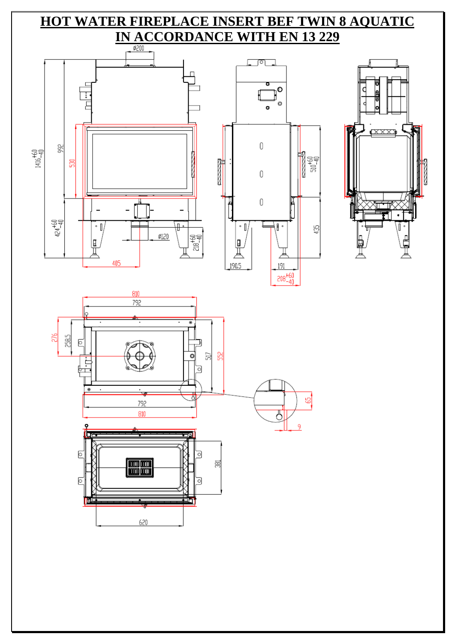# **HOT WATER FIREPLACE INSERT BEF TWIN 8 AQUATIC IN ACCORDANCE WITH EN 13 229**